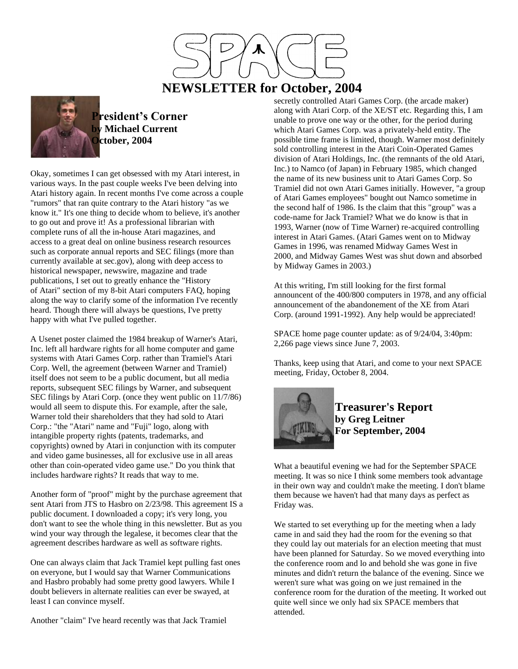

## **NEWSLETTER for October, 2004**



**President's Corner Michael Current October, 2004**

Okay, sometimes I can get obsessed with my Atari interest, in various ways. In the past couple weeks I've been delving into Atari history again. In recent months I've come across a couple "rumors" that ran quite contrary to the Atari history "as we know it." It's one thing to decide whom to believe, it's another to go out and prove it! As a professional librarian with complete runs of all the in-house Atari magazines, and access to a great deal on online business research resources such as corporate annual reports and SEC filings (more than currently available at sec.gov), along with deep access to historical newspaper, newswire, magazine and trade publications, I set out to greatly enhance the "History of Atari" section of my 8-bit Atari computers FAQ, hoping along the way to clarify some of the information I've recently heard. Though there will always be questions, I've pretty happy with what I've pulled together.

A Usenet poster claimed the 1984 breakup of Warner's Atari, Inc. left all hardware rights for all home computer and game systems with Atari Games Corp. rather than Tramiel's Atari Corp. Well, the agreement (between Warner and Tramiel) itself does not seem to be a public document, but all media reports, subsequent SEC filings by Warner, and subsequent SEC filings by Atari Corp. (once they went public on 11/7/86) would all seem to dispute this. For example, after the sale, Warner told their shareholders that they had sold to Atari Corp.: "the "Atari" name and "Fuji" logo, along with intangible property rights (patents, trademarks, and copyrights) owned by Atari in conjunction with its computer and video game businesses, all for exclusive use in all areas other than coin-operated video game use." Do you think that includes hardware rights? It reads that way to me.

Another form of "proof" might by the purchase agreement that sent Atari from JTS to Hasbro on 2/23/98. This agreement IS a public document. I downloaded a copy; it's very long, you don't want to see the whole thing in this newsletter. But as you wind your way through the legalese, it becomes clear that the agreement describes hardware as well as software rights.

One can always claim that Jack Tramiel kept pulling fast ones on everyone, but I would say that Warner Communications and Hasbro probably had some pretty good lawyers. While I doubt believers in alternate realities can ever be swayed, at least I can convince myself.

Another "claim" I've heard recently was that Jack Tramiel

secretly controlled Atari Games Corp. (the arcade maker) along with Atari Corp. of the XE/ST etc. Regarding this, I am unable to prove one way or the other, for the period during which Atari Games Corp. was a privately-held entity. The possible time frame is limited, though. Warner most definitely sold controlling interest in the Atari Coin-Operated Games division of Atari Holdings, Inc. (the remnants of the old Atari, Inc.) to Namco (of Japan) in February 1985, which changed the name of its new business unit to Atari Games Corp. So Tramiel did not own Atari Games initially. However, "a group of Atari Games employees" bought out Namco sometime in the second half of 1986. Is the claim that this "group" was a code-name for Jack Tramiel? What we do know is that in 1993, Warner (now of Time Warner) re-acquired controlling interest in Atari Games. (Atari Games went on to Midway Games in 1996, was renamed Midway Games West in 2000, and Midway Games West was shut down and absorbed by Midway Games in 2003.)

At this writing, I'm still looking for the first formal announcent of the 400/800 computers in 1978, and any official announcement of the abandonement of the XE from Atari Corp. (around 1991-1992). Any help would be appreciated!

SPACE home page counter update: as of 9/24/04, 3:40pm: 2,266 page views since June 7, 2003.

Thanks, keep using that Atari, and come to your next SPACE meeting, Friday, October 8, 2004.



**Treasurer's Report by Greg Leitner For September, 2004**

What a beautiful evening we had for the September SPACE meeting. It was so nice I think some members took advantage in their own way and couldn't make the meeting. I don't blame them because we haven't had that many days as perfect as Friday was.

We started to set everything up for the meeting when a lady came in and said they had the room for the evening so that they could lay out materials for an election meeting that must have been planned for Saturday. So we moved everything into the conference room and lo and behold she was gone in five minutes and didn't return the balance of the evening. Since we weren't sure what was going on we just remained in the conference room for the duration of the meeting. It worked out quite well since we only had six SPACE members that attended.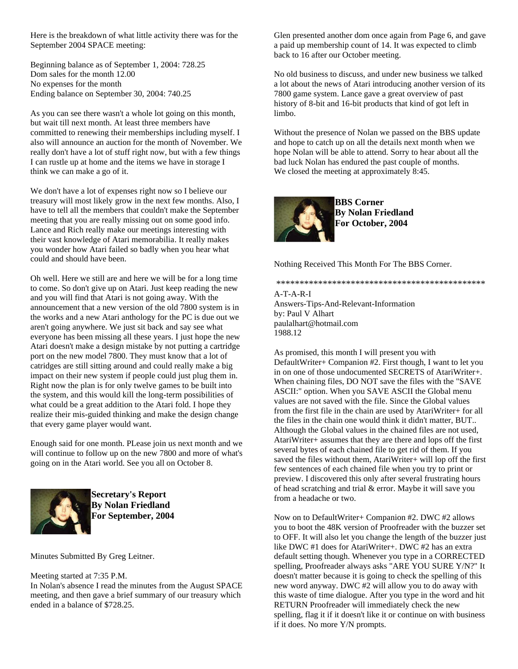Here is the breakdown of what little activity there was for the September 2004 SPACE meeting:

Beginning balance as of September 1, 2004: 728.25 Dom sales for the month 12.00 No expenses for the month Ending balance on September 30, 2004: 740.25

As you can see there wasn't a whole lot going on this month, but wait till next month. At least three members have committed to renewing their memberships including myself. I also will announce an auction for the month of November. We really don't have a lot of stuff right now, but with a few things I can rustle up at home and the items we have in storage I think we can make a go of it.

We don't have a lot of expenses right now so I believe our treasury will most likely grow in the next few months. Also, I have to tell all the members that couldn't make the September meeting that you are really missing out on some good info. Lance and Rich really make our meetings interesting with their vast knowledge of Atari memorabilia. It really makes you wonder how Atari failed so badly when you hear what could and should have been.

Oh well. Here we still are and here we will be for a long time to come. So don't give up on Atari. Just keep reading the new and you will find that Atari is not going away. With the announcement that a new version of the old 7800 system is in the works and a new Atari anthology for the PC is due out we aren't going anywhere. We just sit back and say see what everyone has been missing all these years. I just hope the new Atari doesn't make a design mistake by not putting a cartridge port on the new model 7800. They must know that a lot of catridges are still sitting around and could really make a big impact on their new system if people could just plug them in. Right now the plan is for only twelve games to be built into the system, and this would kill the long-term possibilities of what could be a great addition to the Atari fold. I hope they realize their mis-guided thinking and make the design change that every game player would want.

Enough said for one month. PLease join us next month and we will continue to follow up on the new 7800 and more of what's going on in the Atari world. See you all on October 8.



**Secretary's Report By Nolan Friedland For September, 2004**

Minutes Submitted By Greg Leitner.

Meeting started at 7:35 P.M.

In Nolan's absence I read the minutes from the August SPACE meeting, and then gave a brief summary of our treasury which ended in a balance of \$728.25.

Glen presented another dom once again from Page 6, and gave a paid up membership count of 14. It was expected to climb back to 16 after our October meeting.

No old business to discuss, and under new business we talked a lot about the news of Atari introducing another version of its 7800 game system. Lance gave a great overview of past history of 8-bit and 16-bit products that kind of got left in limbo.

Without the presence of Nolan we passed on the BBS update and hope to catch up on all the details next month when we hope Nolan will be able to attend. Sorry to hear about all the bad luck Nolan has endured the past couple of months. We closed the meeting at approximately 8:45.



**BBS Corner By Nolan Friedland For October, 2004**

Nothing Received This Month For The BBS Corner.

\*\*\*\*\*\*\*\*\*\*\*\*\*\*\*\*\*\*\*\*\*\*\*\*\*\*\*\*\*\*\*\*\*\*\*\*\*\*\*\*\*\*\*\*\*

A-T-A-R-I Answers-Tips-And-Relevant-Information by: Paul V Alhart paulalhart@hotmail.com 1988.12

As promised, this month I will present you with DefaultWriter+ Companion #2. First though, I want to let you in on one of those undocumented SECRETS of AtariWriter+. When chaining files, DO NOT save the files with the "SAVE ASCII:" option. When you SAVE ASCII the Global menu values are not saved with the file. Since the Global values from the first file in the chain are used by AtariWriter+ for all the files in the chain one would think it didn't matter, BUT.. Although the Global values in the chained files are not used, AtariWriter+ assumes that they are there and lops off the first several bytes of each chained file to get rid of them. If you saved the files without them, AtariWriter+ will lop off the first few sentences of each chained file when you try to print or preview. I discovered this only after several frustrating hours of head scratching and trial & error. Maybe it will save you from a headache or two.

Now on to DefaultWriter+ Companion #2. DWC #2 allows you to boot the 48K version of Proofreader with the buzzer set to OFF. It will also let you change the length of the buzzer just like DWC #1 does for AtariWriter+. DWC #2 has an extra default setting though. Whenever you type in a CORRECTED spelling, Proofreader always asks "ARE YOU SURE Y/N?" It doesn't matter because it is going to check the spelling of this new word anyway. DWC #2 will allow you to do away with this waste of time dialogue. After you type in the word and hit RETURN Proofreader will immediately check the new spelling, flag it if it doesn't like it or continue on with business if it does. No more Y/N prompts.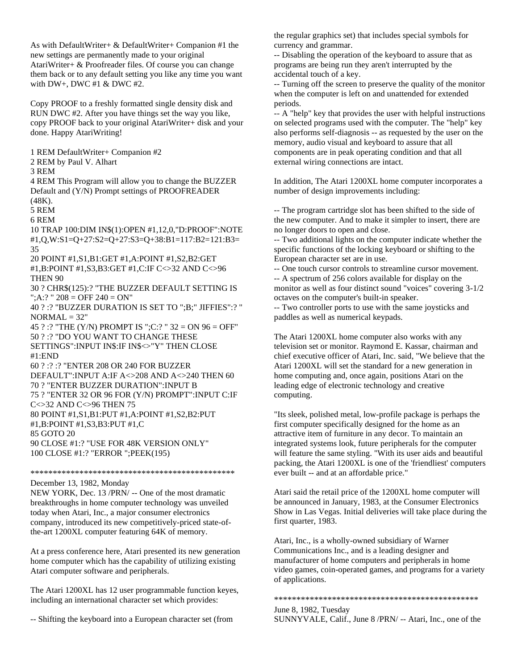As with DefaultWriter+ & DefaultWriter+ Companion #1 the new settings are permanently made to your original AtariWriter+ & Proofreader files. Of course you can change them back or to any default setting you like any time you want with DW+, DWC #1 & DWC #2.

Copy PROOF to a freshly formatted single density disk and RUN DWC #2. After you have things set the way you like, copy PROOF back to your original AtariWriter+ disk and your done. Happy AtariWriting!

1 REM DefaultWriter+ Companion #2 2 REM by Paul V. Alhart

3 REM

4 REM This Program will allow you to change the BUZZER Default and (Y/N) Prompt settings of PROOFREADER (48K).

5 REM

6 REM

10 TRAP 100:DIM IN\$(1):OPEN #1,12,0,"D:PROOF":NOTE #1,Q,W:S1=Q+27:S2=Q+27:S3=Q+38:B1=117:B2=121:B3= 35

20 POINT #1,S1,B1:GET #1,A:POINT #1,S2,B2:GET #1,B:POINT #1,S3,B3:GET #1,C:IF C<>32 AND C<>96 THEN 90

30 ? CHR\$(125):? "THE BUZZER DEFAULT SETTING IS "; $A$ :? " 208 = OFF 240 = ON"

40 ? :? "BUZZER DURATION IS SET TO ";B;" JIFFIES":? "  $NORMAL = 32"$ 

45 ? :? "THE (Y/N) PROMPT IS ";C:? " 32 = ON 96 = OFF" 50 ? :? "DO YOU WANT TO CHANGE THESE SETTINGS":INPUT IN\$:IF IN\$<>"Y" THEN CLOSE  $\text{\texttt{\#1-FND}}$ 60 ? :? :? "ENTER 208 OR 240 FOR BUZZER

DEFAULT":INPUT A:IF A<>208 AND A<>240 THEN 60 70 ? "ENTER BUZZER DURATION":INPUT B 75 ? "ENTER 32 OR 96 FOR (Y/N) PROMPT":INPUT C:IF C<>32 AND C<>96 THEN 75 80 POINT #1,S1,B1:PUT #1,A:POINT #1,S2,B2:PUT #1,B:POINT #1,S3,B3:PUT #1,C 85 GOTO 20 90 CLOSE #1:? "USE FOR 48K VERSION ONLY" 100 CLOSE #1:? "ERROR ";PEEK(195)

\*\*\*\*\*\*\*\*\*\*\*\*\*\*\*\*\*\*\*\*\*\*\*\*\*\*\*\*\*\*\*\*\*\*\*\*\*\*\*\*\*\*\*\*\*\*

December 13, 1982, Monday

NEW YORK, Dec. 13 /PRN/ -- One of the most dramatic breakthroughs in home computer technology was unveiled today when Atari, Inc., a major consumer electronics company, introduced its new competitively-priced state-ofthe-art 1200XL computer featuring 64K of memory.

At a press conference here, Atari presented its new generation home computer which has the capability of utilizing existing Atari computer software and peripherals.

The Atari 1200XL has 12 user programmable function keyes, including an international character set which provides:

-- Shifting the keyboard into a European character set (from

the regular graphics set) that includes special symbols for currency and grammar.

-- Disabling the operation of the keyboard to assure that as programs are being run they aren't interrupted by the accidental touch of a key.

-- Turning off the screen to preserve the quality of the monitor when the computer is left on and unattended for extended periods.

-- A "help" key that provides the user with helpful instructions on selected programs used with the computer. The "help" key also performs self-diagnosis -- as requested by the user on the memory, audio visual and keyboard to assure that all components are in peak operating condition and that all external wiring connections are intact.

In addition, The Atari 1200XL home computer incorporates a number of design improvements including:

-- The program cartridge slot has been shifted to the side of the new computer. And to make it simpler to insert, there are no longer doors to open and close.

-- Two additional lights on the computer indicate whether the specific functions of the locking keyboard or shifting to the European character set are in use.

-- One touch cursor controls to streamline cursor movement. -- A spectrum of 256 colors available for display on the monitor as well as four distinct sound "voices" covering 3-1/2 octaves on the computer's built-in speaker.

-- Two controller ports to use with the same joysticks and paddles as well as numerical keypads.

The Atari 1200XL home computer also works with any television set or monitor. Raymond E. Kassar, chairman and chief executive officer of Atari, Inc. said, "We believe that the Atari 1200XL will set the standard for a new generation in home computing and, once again, positions Atari on the leading edge of electronic technology and creative computing.

"Its sleek, polished metal, low-profile package is perhaps the first computer specifically designed for the home as an attractive item of furniture in any decor. To maintain an integrated systems look, future peripherals for the computer will feature the same styling. "With its user aids and beautiful packing, the Atari 1200XL is one of the 'friendliest' computers ever built -- and at an affordable price."

Atari said the retail price of the 1200XL home computer will be announced in January, 1983, at the Consumer Electronics Show in Las Vegas. Initial deliveries will take place during the first quarter, 1983.

Atari, Inc., is a wholly-owned subsidiary of Warner Communications Inc., and is a leading designer and manufacturer of home computers and peripherals in home video games, coin-operated games, and programs for a variety of applications.

\*\*\*\*\*\*\*\*\*\*\*\*\*\*\*\*\*\*\*\*\*\*\*\*\*\*\*\*\*\*\*\*\*\*\*\*\*\*\*\*\*\*\*\*\*\*

June 8, 1982, Tuesday SUNNYVALE, Calif., June 8 /PRN/ -- Atari, Inc., one of the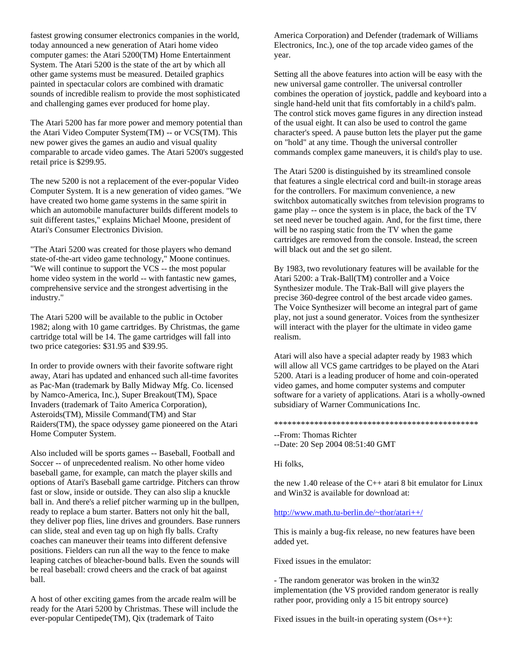fastest growing consumer electronics companies in the world, today announced a new generation of Atari home video computer games: the Atari 5200(TM) Home Entertainment System. The Atari 5200 is the state of the art by which all other game systems must be measured. Detailed graphics painted in spectacular colors are combined with dramatic sounds of incredible realism to provide the most sophisticated and challenging games ever produced for home play.

The Atari 5200 has far more power and memory potential than the Atari Video Computer System(TM) -- or VCS(TM). This new power gives the games an audio and visual quality comparable to arcade video games. The Atari 5200's suggested retail price is \$299.95.

The new 5200 is not a replacement of the ever-popular Video Computer System. It is a new generation of video games. "We have created two home game systems in the same spirit in which an automobile manufacturer builds different models to suit different tastes," explains Michael Moone, president of Atari's Consumer Electronics Division.

"The Atari 5200 was created for those players who demand state-of-the-art video game technology," Moone continues. "We will continue to support the VCS -- the most popular home video system in the world -- with fantastic new games, comprehensive service and the strongest advertising in the industry."

The Atari 5200 will be available to the public in October 1982; along with 10 game cartridges. By Christmas, the game cartridge total will be 14. The game cartridges will fall into two price categories: \$31.95 and \$39.95.

In order to provide owners with their favorite software right away, Atari has updated and enhanced such all-time favorites as Pac-Man (trademark by Bally Midway Mfg. Co. licensed by Namco-America, Inc.), Super Breakout(TM), Space Invaders (trademark of Taito America Corporation), Asteroids(TM), Missile Command(TM) and Star Raiders(TM), the space odyssey game pioneered on the Atari Home Computer System.

Also included will be sports games -- Baseball, Football and Soccer -- of unprecedented realism. No other home video baseball game, for example, can match the player skills and options of Atari's Baseball game cartridge. Pitchers can throw fast or slow, inside or outside. They can also slip a knuckle ball in. And there's a relief pitcher warming up in the bullpen, ready to replace a bum starter. Batters not only hit the ball, they deliver pop flies, line drives and grounders. Base runners can slide, steal and even tag up on high fly balls. Crafty coaches can maneuver their teams into different defensive positions. Fielders can run all the way to the fence to make leaping catches of bleacher-bound balls. Even the sounds will be real baseball: crowd cheers and the crack of bat against ball.

A host of other exciting games from the arcade realm will be ready for the Atari 5200 by Christmas. These will include the ever-popular Centipede(TM), Qix (trademark of Taito

America Corporation) and Defender (trademark of Williams Electronics, Inc.), one of the top arcade video games of the year.

Setting all the above features into action will be easy with the new universal game controller. The universal controller combines the operation of joystick, paddle and keyboard into a single hand-held unit that fits comfortably in a child's palm. The control stick moves game figures in any direction instead of the usual eight. It can also be used to control the game character's speed. A pause button lets the player put the game on "hold" at any time. Though the universal controller commands complex game maneuvers, it is child's play to use.

The Atari 5200 is distinguished by its streamlined console that features a single electrical cord and built-in storage areas for the controllers. For maximum convenience, a new switchbox automatically switches from television programs to game play -- once the system is in place, the back of the TV set need never be touched again. And, for the first time, there will be no rasping static from the TV when the game cartridges are removed from the console. Instead, the screen will black out and the set go silent.

By 1983, two revolutionary features will be available for the Atari 5200: a Trak-Ball(TM) controller and a Voice Synthesizer module. The Trak-Ball will give players the precise 360-degree control of the best arcade video games. The Voice Synthesizer will become an integral part of game play, not just a sound generator. Voices from the synthesizer will interact with the player for the ultimate in video game realism.

Atari will also have a special adapter ready by 1983 which will allow all VCS game cartridges to be played on the Atari 5200. Atari is a leading producer of home and coin-operated video games, and home computer systems and computer software for a variety of applications. Atari is a wholly-owned subsidiary of Warner Communications Inc.

## \*\*\*\*\*\*\*\*\*\*\*\*\*\*\*\*\*\*\*\*\*\*\*\*\*\*\*\*\*\*\*\*\*\*\*\*\*\*\*\*\*\*\*\*\*\*

--From: Thomas Richter

```
--Date: 20 Sep 2004 08:51:40 GMT
```
Hi folks,

the new 1.40 release of the  $C_{++}$  atari 8 bit emulator for Linux and Win32 is available for download at:

## <http://www.math.tu-berlin.de/~thor/atari++/>

This is mainly a bug-fix release, no new features have been added yet.

Fixed issues in the emulator:

- The random generator was broken in the win32 implementation (the VS provided random generator is really rather poor, providing only a 15 bit entropy source)

Fixed issues in the built-in operating system  $(Os++)$ :